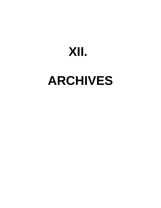## **XII.**

# **ARCHIVES**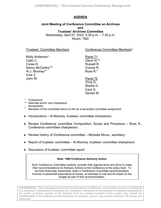### **AGENDA**

#### **Joint Meeting of Conference Committee on Archives and Trustees' Archives Committee** Wednesday, April 27, 2022, 5:30 p.m. – 7:30 p.m. Room: TBD

Trustees' Committee Members

Conference Committee Members<sup>1</sup>

Molly Anderson<sup>+</sup> Cathi C. Coree H. Nancy McCarthy\*\*+ Al J. Mooney\*+ Irma V. John W.

Panel 71 Glenn N.\*\* Russell R. Connie R. Russ R.\*

Panel 72 Chris D. Shellia D. Cara G. Denise M.

- \* Chairperson
- \*\* Alternate and/or vice chairperson
- + Nonalcoholic
- <sup>1</sup> Members of this committee serve on this as a secondary committee assignment.
- ♦ Introductions Al Mooney, trustees' committee chairperson.
- ♦ Review Conference committee Composition, Scope and Procedure Russ R., Conference committee chairperson.
- $\triangle$  Review history of Conference committee Michelle Mirza<sub>+</sub>, secretary.
- $\blacklozenge$  Report of trustees' committee Al Mooney, trustees' committee chairperson.
- ♦ Discussion of trustees' committee report.

#### **Note: 1989 Conference Advisory Action**

Each Conference Committee carefully consider their Agenda items and strive to make their recommendations for Advisory Actions to the Conference at the policy level. To be more financially responsible, when a Conference Committee recommendation involves a substantial expenditure of money, an estimate of cost and its impact on the budget be part of that recommendation.

**CONFIDENTIAL: This is background for the General Service Conference, and as such may be a confidential A.A. document. Distribution is limited to A.A. members. Placement of this material in a location accessible to the public, including aspects of the Internet, such as websites available to the public, may breach the confidentiality of the material and the anonymity of members, since it may contain members' full names and addresses.**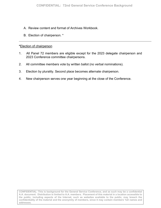- A. Review [content and format of Archives Workbook.](#page-3-0)
- B. Election of chairperson. \*

#### **\***Election of chairperson

- 1. All Panel 72 members are eligible except for the 2023 delegate chairperson and 2023 Conference committee chairpersons.
- 2. All committee members vote by written ballot (no verbal nominations).
- 3. Election by plurality. Second place becomes alternate chairperson.
- 4. New chairperson serves one year beginning at the close of the Conference.

**CONFIDENTIAL: This is background for the General Service Conference, and as such may be a confidential A.A. document. Distribution is limited to A.A. members. Placement of this material in a location accessible to the public, including aspects of the Internet, such as websites available to the public, may breach the confidentiality of the material and the anonymity of members, since it may contain members' full names and addresses.**